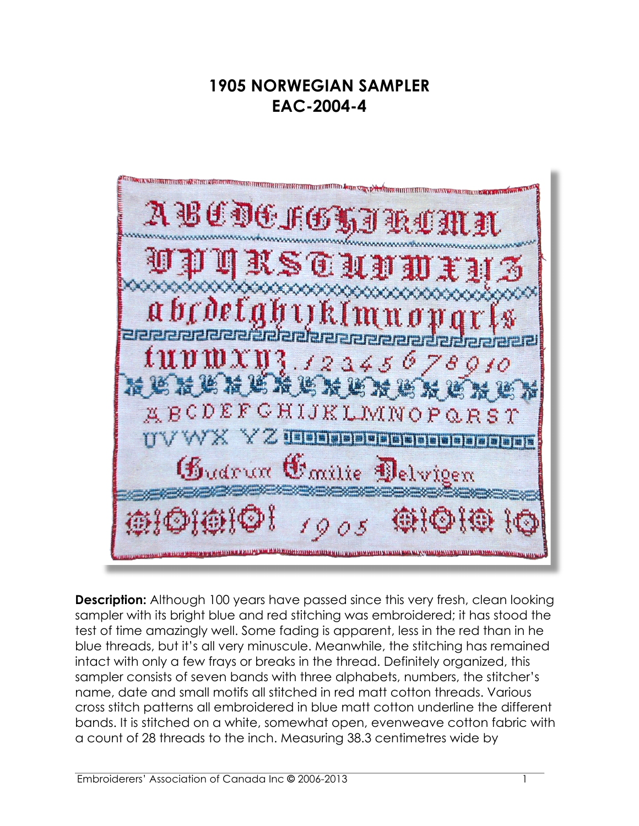## **1905 NORWEGIAN SAMPLER EAC-2004-4**

ARALIAN MENTAN KAROKURAN ANTAN HIRI KURIN KURIN NI BITAN 1990 SIA DAN MANALIA ANTI HIRI MANTAN ARAK SA KARA MA 

**Description:** Although 100 years have passed since this very fresh, clean looking sampler with its bright blue and red stitching was embroidered; it has stood the test of time amazingly well. Some fading is apparent, less in the red than in he blue threads, but it's all very minuscule. Meanwhile, the stitching has remained intact with only a few frays or breaks in the thread. Definitely organized, this sampler consists of seven bands with three alphabets, numbers, the stitcher's name, date and small motifs all stitched in red matt cotton threads. Various cross stitch patterns all embroidered in blue matt cotton underline the different bands. It is stitched on a white, somewhat open, evenweave cotton fabric with a count of 28 threads to the inch. Measuring 38.3 centimetres wide by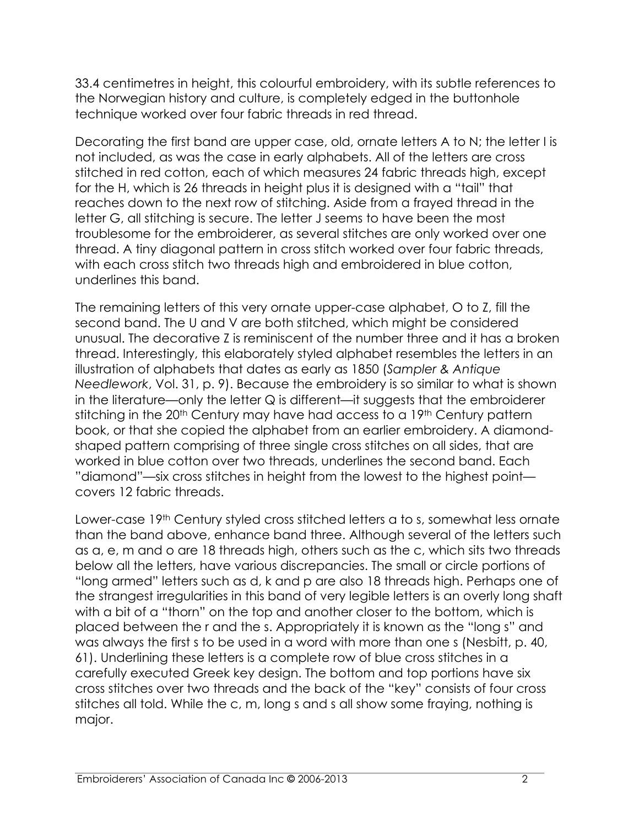33.4 centimetres in height, this colourful embroidery, with its subtle references to the Norwegian history and culture, is completely edged in the buttonhole technique worked over four fabric threads in red thread.

Decorating the first band are upper case, old, ornate letters A to N; the letter I is not included, as was the case in early alphabets. All of the letters are cross stitched in red cotton, each of which measures 24 fabric threads high, except for the H, which is 26 threads in height plus it is designed with a "tail" that reaches down to the next row of stitching. Aside from a frayed thread in the letter G, all stitching is secure. The letter J seems to have been the most troublesome for the embroiderer, as several stitches are only worked over one thread. A tiny diagonal pattern in cross stitch worked over four fabric threads, with each cross stitch two threads high and embroidered in blue cotton, underlines this band.

The remaining letters of this very ornate upper-case alphabet, O to Z, fill the second band. The U and V are both stitched, which might be considered unusual. The decorative Z is reminiscent of the number three and it has a broken thread. Interestingly, this elaborately styled alphabet resembles the letters in an illustration of alphabets that dates as early as 1850 (*Sampler & Antique Needlework*, Vol. 31, p. 9). Because the embroidery is so similar to what is shown in the literature—only the letter  $Q$  is different—it suggests that the embroiderer stitching in the 20<sup>th</sup> Century may have had access to a 19<sup>th</sup> Century pattern book, or that she copied the alphabet from an earlier embroidery. A diamondshaped pattern comprising of three single cross stitches on all sides, that are worked in blue cotton over two threads, underlines the second band. Each "diamond"—six cross stitches in height from the lowest to the highest point covers 12 fabric threads.

Lower-case 19<sup>th</sup> Century styled cross stitched letters a to s, somewhat less ornate than the band above, enhance band three. Although several of the letters such as a, e, m and o are 18 threads high, others such as the c, which sits two threads below all the letters, have various discrepancies. The small or circle portions of "long armed" letters such as d, k and p are also 18 threads high. Perhaps one of the strangest irregularities in this band of very legible letters is an overly long shaft with a bit of a "thorn" on the top and another closer to the bottom, which is placed between the r and the s. Appropriately it is known as the "long s" and was always the first s to be used in a word with more than one s (Nesbitt, p. 40, 61). Underlining these letters is a complete row of blue cross stitches in a carefully executed Greek key design. The bottom and top portions have six cross stitches over two threads and the back of the "key" consists of four cross stitches all told. While the c, m, long s and s all show some fraying, nothing is major.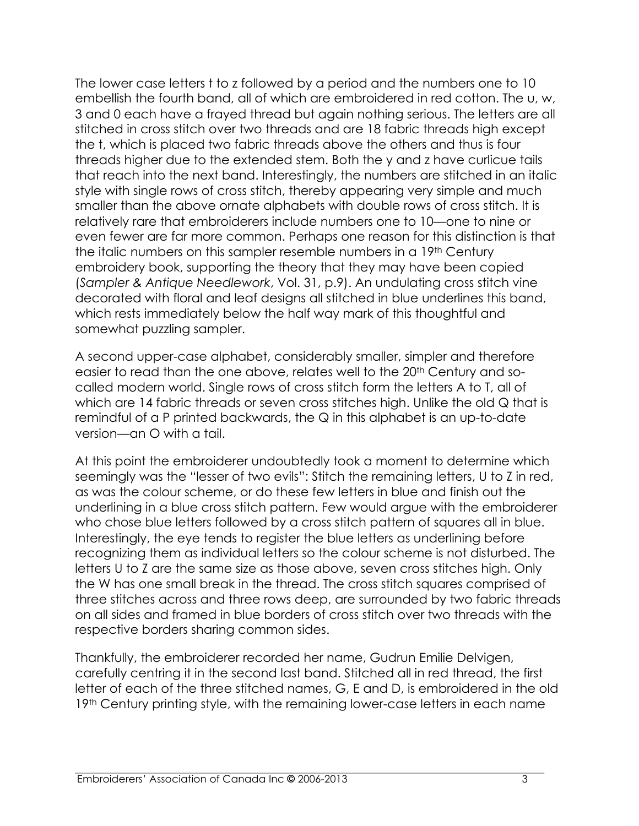The lower case letters t to z followed by a period and the numbers one to 10 embellish the fourth band, all of which are embroidered in red cotton. The u, w, 3 and 0 each have a frayed thread but again nothing serious. The letters are all stitched in cross stitch over two threads and are 18 fabric threads high except the t, which is placed two fabric threads above the others and thus is four threads higher due to the extended stem. Both the y and z have curlicue tails that reach into the next band. Interestingly, the numbers are stitched in an italic style with single rows of cross stitch, thereby appearing very simple and much smaller than the above ornate alphabets with double rows of cross stitch. It is relatively rare that embroiderers include numbers one to 10—one to nine or even fewer are far more common. Perhaps one reason for this distinction is that the italic numbers on this sampler resemble numbers in a 19th Century embroidery book, supporting the theory that they may have been copied (*Sampler & Antique Needlework*, Vol. 31, p.9). An undulating cross stitch vine decorated with floral and leaf designs all stitched in blue underlines this band, which rests immediately below the half way mark of this thoughtful and somewhat puzzling sampler.

A second upper-case alphabet, considerably smaller, simpler and therefore easier to read than the one above, relates well to the 20<sup>th</sup> Century and socalled modern world. Single rows of cross stitch form the letters A to T, all of which are 14 fabric threads or seven cross stitches high. Unlike the old Q that is remindful of a P printed backwards, the Q in this alphabet is an up-to-date version—an O with a tail.

At this point the embroiderer undoubtedly took a moment to determine which seemingly was the "lesser of two evils": Stitch the remaining letters, U to Z in red, as was the colour scheme, or do these few letters in blue and finish out the underlining in a blue cross stitch pattern. Few would argue with the embroiderer who chose blue letters followed by a cross stitch pattern of squares all in blue. Interestingly, the eye tends to register the blue letters as underlining before recognizing them as individual letters so the colour scheme is not disturbed. The letters U to Z are the same size as those above, seven cross stitches high. Only the W has one small break in the thread. The cross stitch squares comprised of three stitches across and three rows deep, are surrounded by two fabric threads on all sides and framed in blue borders of cross stitch over two threads with the respective borders sharing common sides.

Thankfully, the embroiderer recorded her name, Gudrun Emilie Delvigen, carefully centring it in the second last band. Stitched all in red thread, the first letter of each of the three stitched names, G, E and D, is embroidered in the old 19<sup>th</sup> Century printing style, with the remaining lower-case letters in each name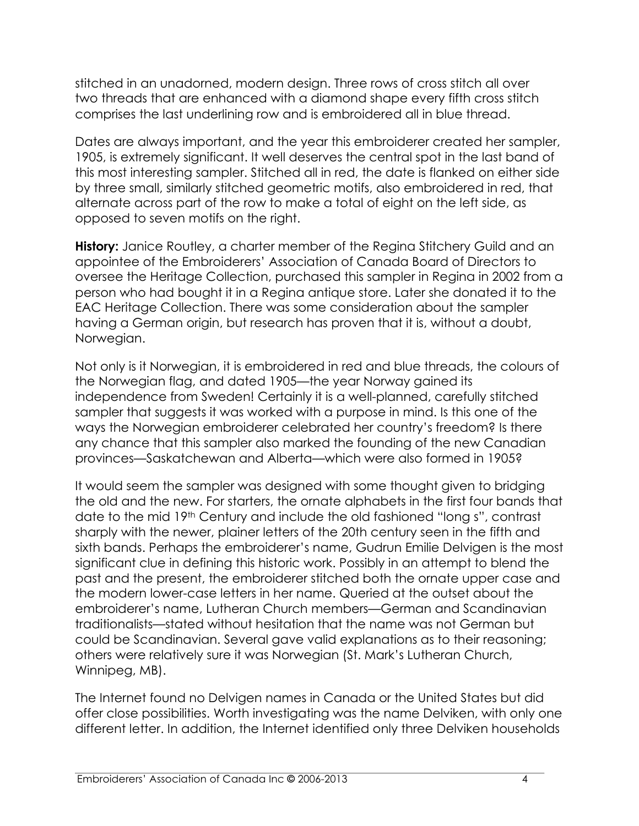stitched in an unadorned, modern design. Three rows of cross stitch all over two threads that are enhanced with a diamond shape every fifth cross stitch comprises the last underlining row and is embroidered all in blue thread.

Dates are always important, and the year this embroiderer created her sampler, 1905, is extremely significant. It well deserves the central spot in the last band of this most interesting sampler. Stitched all in red, the date is flanked on either side by three small, similarly stitched geometric motifs, also embroidered in red, that alternate across part of the row to make a total of eight on the left side, as opposed to seven motifs on the right.

**History:** Janice Routley, a charter member of the Regina Stitchery Guild and an appointee of the Embroiderers' Association of Canada Board of Directors to oversee the Heritage Collection, purchased this sampler in Regina in 2002 from a person who had bought it in a Regina antique store. Later she donated it to the EAC Heritage Collection. There was some consideration about the sampler having a German origin, but research has proven that it is, without a doubt, Norwegian.

Not only is it Norwegian, it is embroidered in red and blue threads, the colours of the Norwegian flag, and dated 1905—the year Norway gained its independence from Sweden! Certainly it is a well-planned, carefully stitched sampler that suggests it was worked with a purpose in mind. Is this one of the ways the Norwegian embroiderer celebrated her country's freedom? Is there any chance that this sampler also marked the founding of the new Canadian provinces—Saskatchewan and Alberta—which were also formed in 1905?

It would seem the sampler was designed with some thought given to bridging the old and the new. For starters, the ornate alphabets in the first four bands that date to the mid 19th Century and include the old fashioned "long s", contrast sharply with the newer, plainer letters of the 20th century seen in the fifth and sixth bands. Perhaps the embroiderer's name, Gudrun Emilie Delvigen is the most significant clue in defining this historic work. Possibly in an attempt to blend the past and the present, the embroiderer stitched both the ornate upper case and the modern lower-case letters in her name. Queried at the outset about the embroiderer's name, Lutheran Church members—German and Scandinavian traditionalists—stated without hesitation that the name was not German but could be Scandinavian. Several gave valid explanations as to their reasoning; others were relatively sure it was Norwegian (St. Mark's Lutheran Church, Winnipeg, MB).

The Internet found no Delvigen names in Canada or the United States but did offer close possibilities. Worth investigating was the name Delviken, with only one different letter. In addition, the Internet identified only three Delviken households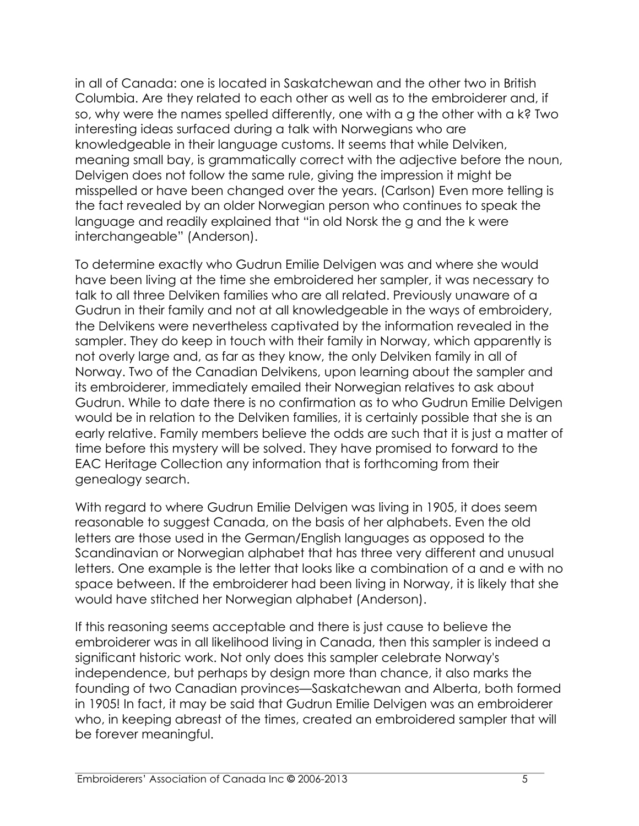in all of Canada: one is located in Saskatchewan and the other two in British Columbia. Are they related to each other as well as to the embroiderer and, if so, why were the names spelled differently, one with a g the other with a k? Two interesting ideas surfaced during a talk with Norwegians who are knowledgeable in their language customs. It seems that while Delviken, meaning small bay, is grammatically correct with the adjective before the noun, Delvigen does not follow the same rule, giving the impression it might be misspelled or have been changed over the years. (Carlson) Even more telling is the fact revealed by an older Norwegian person who continues to speak the language and readily explained that "in old Norsk the g and the k were interchangeable" (Anderson).

To determine exactly who Gudrun Emilie Delvigen was and where she would have been living at the time she embroidered her sampler, it was necessary to talk to all three Delviken families who are all related. Previously unaware of a Gudrun in their family and not at all knowledgeable in the ways of embroidery, the Delvikens were nevertheless captivated by the information revealed in the sampler. They do keep in touch with their family in Norway, which apparently is not overly large and, as far as they know, the only Delviken family in all of Norway. Two of the Canadian Delvikens, upon learning about the sampler and its embroiderer, immediately emailed their Norwegian relatives to ask about Gudrun. While to date there is no confirmation as to who Gudrun Emilie Delvigen would be in relation to the Delviken families, it is certainly possible that she is an early relative. Family members believe the odds are such that it is just a matter of time before this mystery will be solved. They have promised to forward to the EAC Heritage Collection any information that is forthcoming from their genealogy search.

With regard to where Gudrun Emilie Delvigen was living in 1905, it does seem reasonable to suggest Canada, on the basis of her alphabets. Even the old letters are those used in the German/English languages as opposed to the Scandinavian or Norwegian alphabet that has three very different and unusual letters. One example is the letter that looks like a combination of a and e with no space between. If the embroiderer had been living in Norway, it is likely that she would have stitched her Norwegian alphabet (Anderson).

If this reasoning seems acceptable and there is just cause to believe the embroiderer was in all likelihood living in Canada, then this sampler is indeed a significant historic work. Not only does this sampler celebrate Norway's independence, but perhaps by design more than chance, it also marks the founding of two Canadian provinces—Saskatchewan and Alberta, both formed in 1905! In fact, it may be said that Gudrun Emilie Delvigen was an embroiderer who, in keeping abreast of the times, created an embroidered sampler that will be forever meaningful.